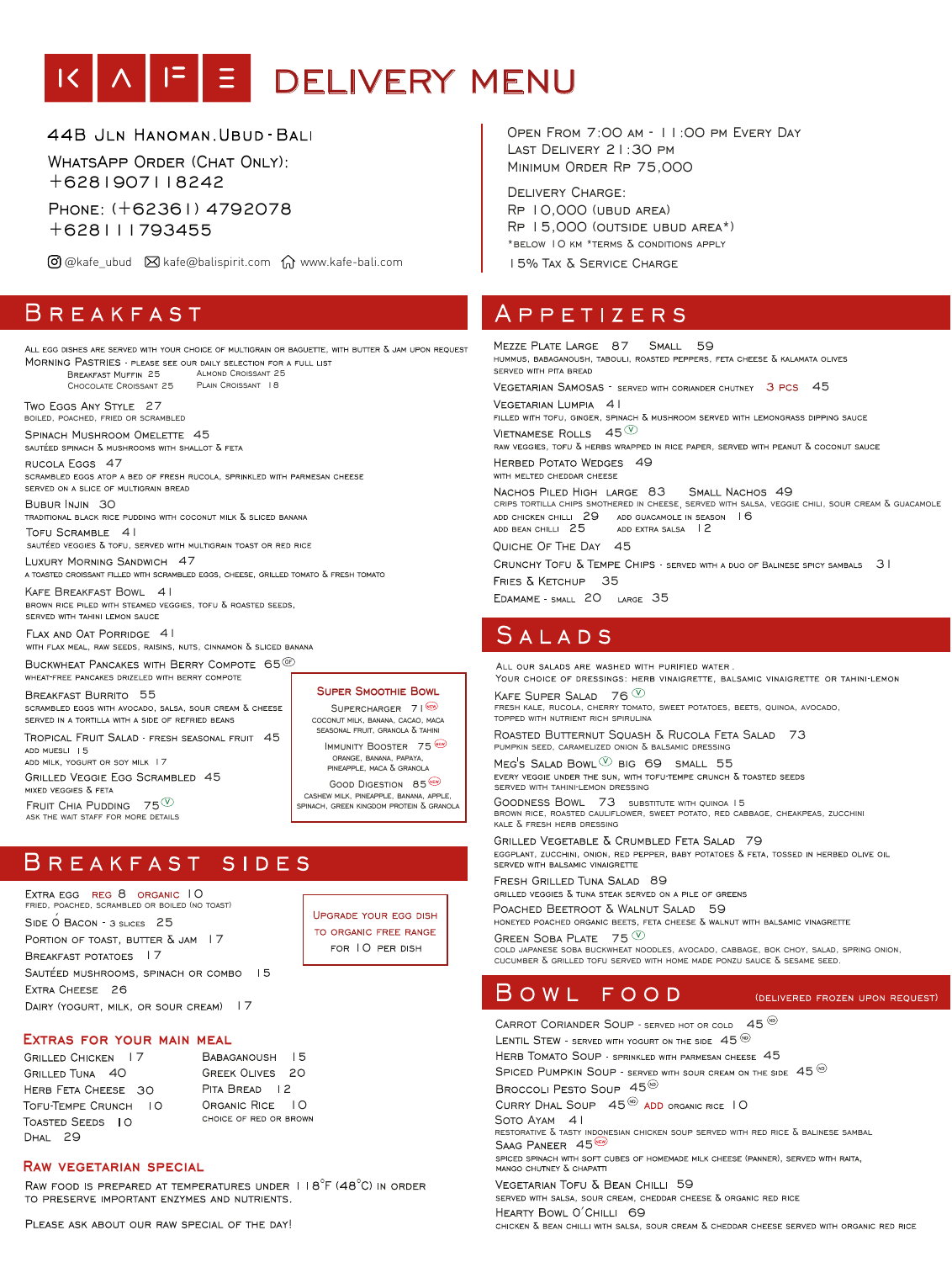# IK A F E DELIVERY MENU

44B JLN HANOMAN. UBUD-BALI

WHATSAPP ORDER (CHAT ONLY): +6281907118242

Phone: (+62361) 4792078 +628111793455

 $\overline{O}$  @kafe\_ubud  $\overline{O}$  kafe@balispirit.com  $\overline{O}$  www.kafe-bali.com

## BREAKFAST

ALL EGG DISHES ARE SERVED WITH YOUR CHOICE OF MULTIGRAIN OR BAGUETTE, WITH BUTTER & JAM UPON REQUEST MORNING PASTRIES - PLEASE SEE OUR DAILY SELECTION FOR A FULL LIST<br>BREAKFAST MUFFIN 25 ALMOND CROISSANT 25 BREAKFAST MUFFIN 25 PLAIN CROISSANT 18 Chocolate Croissant 25 TWO EGGS ANY STYLE 27 boiled, poached, fried or scrambled SPINACH MUSHROOM OMELETTE 45<br>sautéed spinach & mushrooms with shallot & feta RUCOLA EGGS 47<br>scrambled eggs atop a bed of fresh rucola, sprinkled with parmesan cheese SERVED ON A SLICE OF MULTIGRAIN BREAD BUBUR INJIN 30<br>traditional black rice pudding with coconut milk & sliced banana  $\begin{minipage}{0.9\linewidth} \begin{tabular}{l} \textbf{TOFU SCRAMBLE} \end{tabular} \begin{tabular}{l} \textbf{4} & \textbf{1} \\ \textbf{SAUTÉED VEGGIES & \textbf{7} \\ \end{tabular} \end{minipage}$ LUXURY MORNING SANDWICH 47<br>A TOASTED CROISSANT FILLED WITH SCRAMBLED EGGS, CHEESE, GRILLED TOMATO & FRESH TOMATO KAFE BREAKFAST BOWL 41<br>BROWN RICE PILED WITH STEAMED VEGGIES, TOFU & ROASTED SEEDS, SERVED WITH TAHINI LEMON SAUCE FLAX AND OAT PORRIDGE 41<br>with flax meal, raw seeds, raisins, nuts, cinnamon & sliced banana BUCKWHEAT PANCAKES WITH BERRY COMPOTE 65 ® WHEAT-FREE PANCAKES DRIZELED WITH BERRY COMPOTE BREAKFAST BURRITO 55<br>scrambled eggs with avocado, salsa, sour cream & cheese **Super Smoothie Bowl** SUPERCHARGER 71 SERVED IN A TORTILLA WITH A SIDE OF REFRIED BEANS seasonal fruit, granola & tahini TROPICAL FRUIT SALAD - FRESH SEASONAL FRUIT 45 IMMUNITY BOOSTER 75 ADD MUESLI 15 ADD MILK, YOGURT OR SOY MILK 17 pineapple, maca & granola **GRILLED VEGGIE EGG SCRAMBLED 45** GOOD DIGESTION 85 (EV)<br>CASHEW MILK, PINEAPPLE, BANANA, APPLE, MIXED VEGGIES & FETA

FRUIT CHIA PUDDING  $75^{\circledcirc}$ ASK THE WAIT STAFF FOR MORE DETAILS

#### $\overline{\mathsf{B}}$  R E A K F A S T SIDES

10 8 fried, poached, scrambled or boiled (no toast) SIDE O BACON - 3 SLICES 25 PORTION OF TOAST. BUTTER  $\delta$  JAM 17 BREAKFAST POTATOES | 7 SAUTÉED MUSHROOMS, SPINACH OR COMBO 15 EXTRA CHEESE 26 DAIRY (YOGURT, MILK, OR SOUR CREAM) | 7

**LIPGRADE YOUR EGG DISH** TO ORGANIC FREE RANGE FOR 10 PER DISH

spinach, green kingdom protein & granola

#### **Extras for your main meal**

**GRILLED CHICKEN | 7** GRILLED TUNA 40 HERB FETA CHEESE 30 TOFU-TEMPE CRUNCH | O TOASTED SEEDS 10 DHAL 29

BABAGANOUSH 15 **GREEK OLIVES 20** PITA BREAD 12 ORGANIC RICE 10<br>CHOICE OF RED OR BROWN

#### **Raw vegetarian special**

RAW FOOD IS PREPARED AT TEMPERATURES UNDER  $118^{\circ}$ F (48 $^{\circ}$ C) in Order TO PRESERVE IMPORTANT ENZYMES AND NUTRIENTS.

PLEASE ASK ABOUT OUR RAW SPECIAL OF THE DAY!

Open From 7:00 am - 11:00 pm Every Day Last Delivery 21:30 pm Minimum Order Rp 75,000

Delivery Charge: Rp 10,000 (ubud area) Rp 15,000 (outside ubud area\*) \*below 10 km \*terms & conditions apply 15% Tax & Service Charge

## A P P E T I Z E R S

MEZZE PLATE LARGE 87 SMALL 59<br>hummus, babaganoush, tabouli, roasted peppers, feta cheese & kalamata olives SERVED WITH PITA BREAD VEGETARIAN SAMOSAS - SERVED WITH CORIANDER CHUTNEY 3 PCS 45 VEGETARIAN LUMPIA 41<br>FILLED WITH TOFU, GINGER, SPINACH & MUSHROOM SERVED WITH LEMONGRASS DIPPING SAUCE VIETNAMESE ROLLS  $\ 45^{\circledcirc}$  in rice paper, served with peanut & coconut sauce HERBED POTATO WEDGES 49 WITH MELTED CHEDDAR CHEESE NACHOS PILED HIGH LARGE 83 SMALL NACHOS 49 CRIPS TORTILLA CHIPS SMOTHERED IN CHEESE, SERVED WITH SALSA, VEGGIE CHILI, SOUR CREAM  $\bar{\text{A}}$  GUACAMOLE ADD CHICKEN CHILLI 29 ADD GUACAMOLE IN SEASON 16 ADD BEAN CHILLI 25 ADD EXTRA SALSA | 2 Quiche Of The Day 45 CRUNCHY TOFU & TEMPE CHIPS - SERVED WITH A DUO OF BALINESE SPICY SAMBALS 31 FRIES & KETCHUP 35 EDAMAME - SMALL 20 LARGE 35

### SALADS

ALL OUR SALADS ARE WASHED WITH PURIFIED WATER. YOUR CHOICE OF DRESSINGS: HERB VINAIGRETTE, BALSAMIC VINAIGRETTE OR TAHINI-LEMON KAFE SUPER SALAD 76  $\mathbb{O}$ fresh kale, rucola, cherry tomato, sweet potatoes, beets, quinoa, avocado, topped with nutrient rich spirulina ROASTED BUTTERNUT SQUASH & RUCOLA FETA SALAD 73 PUMPKIN SEED, CARAMELIZED ONION  $\bar{\Delta}$  BALSAMIC DRESSING  $MEG'S$  SALAD BOWL  $\overline{O}$  BIG 69 SMALL 55

EVERY VEGGIE UNDER THE SUN, WITH TOFU-TEMPE CRUNCH  $\bar{\Delta}$  TOASTED SEEDS SERVED WITH TAHINI-LEMON DRESSING

Goodness Bowl 73 substitute with quinoa 15 brown rice, roasted cauliflower, sweet potato, red cabbage, cheakpeas, zucchini kale & fresh herb dressing

GRILLED VEGETABLE & CRUMBLED FETA SALAD 79<br>EGGPLANT, ZUCCHINI, ONION, RED PEPPER, BABY POTATOES & FETA, TOSSED IN HERBED OLIVE OIL SERVED WITH BALSAMIC VINAIGRETTE

FRESH GRILLED TUNA SALAD 89<br>Grilled veggies & tuna steak served on a pile of greens

POACHED BEETROOT & WALNUT SALAD 59<br>honeyed poached organic beets, feta cheese & walnut with balsamic vinagrette

GREEN SOBA PLATE  $75^{\circledcirc}$ cold japanese soba buckwheat noodles, avocado, cabbage, bok choy, salad, spring onion, CUCUMBER  $\delta$  grilled tofu served with home made ponzu sauce  $\delta$  sesame seed.

#### BOWL FOOD (DELIVERED FROZEN UPON REQUEST)

CARROT CORIANDER SOUP - SERVED HOT OR COLD  $45^{\circledR}$ 

LENTIL STEW - SERVED WITH YOGURT ON THE SIDE  $45\,^{\circ\!\circ\!\circ}$ 

HERB TOMATO SOUP - SPRINKLED WITH PARMESAN CHEESE 45

SPICED PUMPKIN SOUP - SERVED WITH SOUR CREAM ON THE SIDE  $45^{60}$ 

BROCCOLI PESTO SOUP 45<sup>®</sup>

CURRY DHAL SOUP 45<sup><sup>66</sup> ADD ORGANIC RICE 10</sup>

Soto Ayam 41 restorative & tasty indonesian chicken soup served with red rice & balinese sambal

SAAG PANEER  $45^{\textcircled{\tiny{4}}}$ <br>spiced spinach with soft cubes of homemade milk cheese (panner), served with raita. MANGO CHUTNEY & CHAPATTI

VEGETARIAN TOFU & BEAN CHILLI 59<br>served with salsa, sour cream, cheddar cheese & organic red rice

HEARTY BOWL O'CHILLI 69<br>chicken & bean chilli with salsa, sour cream & cheddar cheese served with organic red rice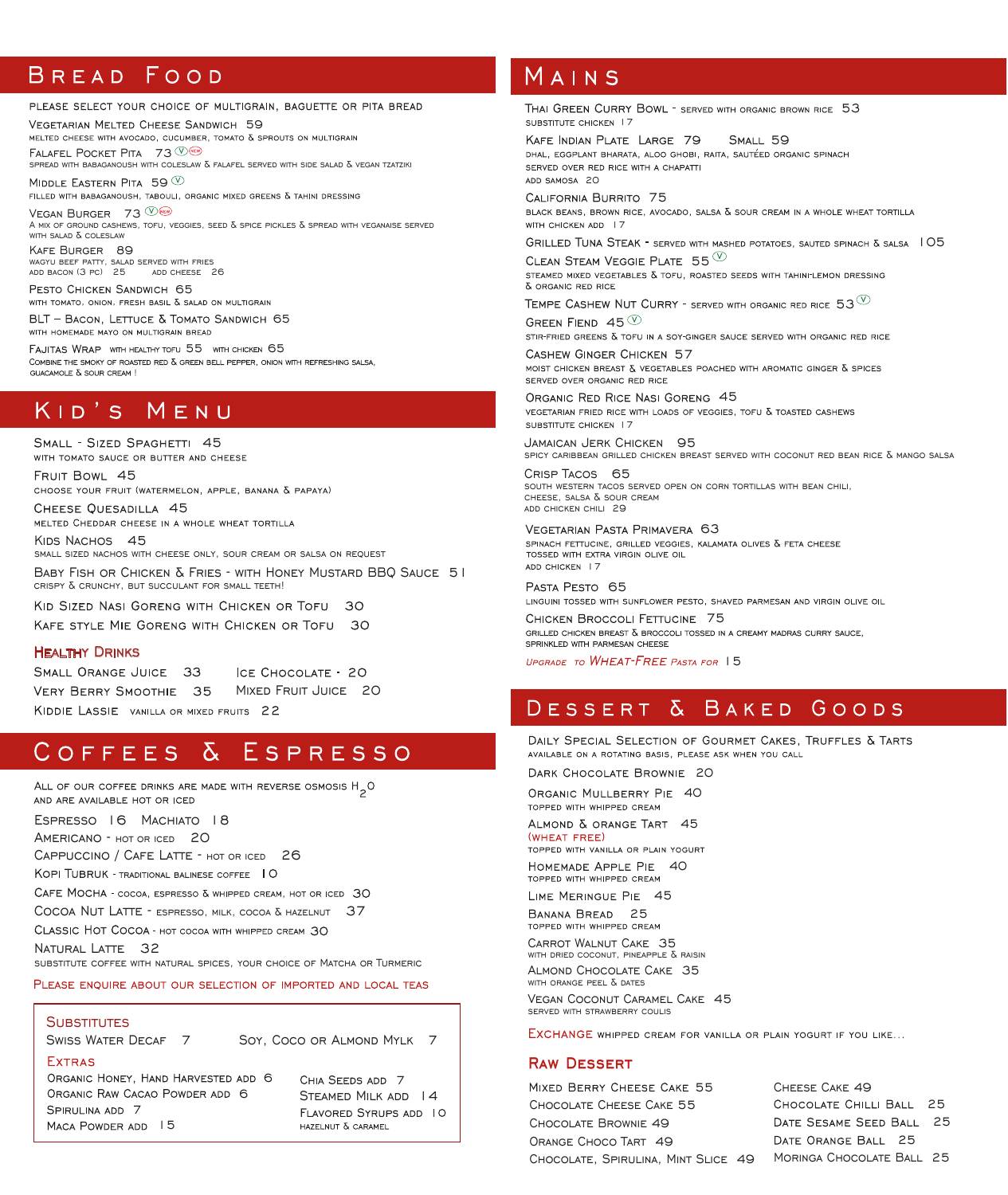### BREAD FOOD

#### PLEASE SELECT YOUR CHOICE OF MULTIGRAIN, BAGUETTE OR PITA BREAD

Falafel Pocket Pita 73 spread with babaganoush with coleslaw & falafel served with side salad & vegan tzatziki VEGETARIAN MELTED CHEESE SANDWICH 59<br>MELTED CHEESE WITH AVOCADO, CUCUMBER, TOMATO & SPROUTS ON MULTIGRAIN

MIDDLE EASTERN PITA 59  $^\circledR$ <br>filled with babaganoush, tabouli, organic mixed greens & tahini dressing

Kafe Burger 89 VEGAN BURGER 73 A MIX OF GROUND CASHEWS, TOFU, VEGGIES, SEED  $\delta$  spice pickles  $\delta$  spread with veganaise served with salad & coleslaw

wagyu beef patty, salad served with fries add bacon (3 pc) 25 add cheese 26

PESTO CHICKEN SANDWICH 65<br>WITH TOMATO, ONION, FRESH BASIL & SALAD ON MULTIGRAIN

BLT - BACON, LETTUCE & TOMATO SANDWICH 65 WITH HOMEMADE MAYO ON MULTIGRAIN BREAD

FAJITAS WRAP WITH HEALTHY TOFU 55 WITH CHICKEN 65<br>COMBINE THE SMOKY OF ROASTED RED & GREEN BELL PEPPER, ONION WITH REFRESHING SALSA, GUACAMOLE & SOUR CREAM !

### KID'S MENU

SMALL - SIZED SPAGHETTI 45<br>with tomato sauce or butter and cheese

FRUIT BOWL 45<br>CHOOSE YOUR FRUIT (WATERMELON, APPLE, BANANA & PAPAYA)

CHEESE QUESADILLA 45<br>MELTED CHEDDAR CHEESE IN A WHOLE WHEAT TORTILLA

KIDS NACHOS 45 small sized nachos with cheese only, sour cream or salsa on request

Baby Fish or Chicken & Fries - with Honey Mustard BBQ Sauce 51 crispy & crunchy, but succulant for small teeth!

KID SIZED NASI GORENG WITH CHICKEN OR TOFU 30

KAFE STYLE MIE GORENG WITH CHICKEN OR TOFU 30

#### Healthy Drinks

SMALL ORANGE JUICE 33 ICE CHOCOLATE - 20 VERY BERRY SMOOTHIE 35 MIXED FRUIT JUICE 20 KIDDIE LASSIE VANILLA OR MIXED FRUITS 22

### COFFEES & ESPRESSO

ALL OF OUR COFFEE DRINKS ARE MADE WITH REVERSE OSMOSIS H<sub>2</sub>O AND ARE AVAILABLE HOT OR ICED

Espresso 16 Machiato 18

AMERICANO - HOT OR ICED 20

CAPPUCCINO / CAFE LATTE - HOT OR ICED 26

KOPI TUBRUK - TRADITIONAL BALINESE COFFEE 10

CAFE MOCHA - COCOA, ESPRESSO & WHIPPED CREAM, HOT OR ICED 30

COCOA NUT LATTE - ESPRESSO, MILK, COCOA & HAZELNUT 37

CLASSIC HOT COCOA - HOT COCOA WITH WHIPPED CREAM 30

NATURAL LATTE 32

substitute coffee with natural spices, your choice of Matcha or Turmeric

PLEASE ENQUIRE ABOUT OUR SELECTION OF IMPORTED AND LOCAL TEAS

### **SUBSTITUTES**

**FXTRAS** 

SWISS WATER DECAF 7 Soy, Coco or ALMOND MYLK 7

SPIRULINA ADD 7 MACA POWDER ADD 15 ORGANIC RAW CACAO POWDER ADD 6 ORGANIC HONEY, HAND HARVESTED ADD 6 CHIA SEEDS ADD 7

HAZELNUT & CARAMEL

### MAINS

THAI GREEN CURRY BOWL - SERVED WITH ORGANIC BROWN RICE 53 SUBSTITUTE CHICKEN | 7

KAFE INDIAN PLATE LARGE 79 SMALL 59<br>DHAL, EGGPLANT BHARATA, ALOO GHOBI, RAITA, SAUTÉED ORGANIC SPINACH KAFE INDIAN PLATE LARGE 79 SERVED OVER RED RICE WITH A CHAPATTI ADD SAMOSA 20

CALIFORNIA BURRITO 75<br>black beans, brown rice, avocado, salsa & sour cream in a whole wheat tortilla WITH CHICKEN ADD 17

GRILLED TUNA STEAK - SERVED WITH MASHED POTATOES, SAUTED SPINACH & SALSA 105

CLEAN STEAM VEGGIE PLATE  $55\,^\circledcirc$ <br>steamed mixed vegetables & tofu, roasted seeds with tahinflemon dressing & ORGANIC RED RICE

TEMPE CASHEW NUT CURRY - served with organic red rice  $53^{\circledcirc}$ 

GREEN FIEND 45  $\mathbb {Q}$ <br>stir-fried greens & tofu in a soy-ginger sauce served with organic red rice

CASHEW GINGER CHICKEN 57<br>moist chicken breast & vegetables poached with aromatic ginger & spices SERVED OVER ORGANIC RED RICE

ORGANIC RED RICE NASI GORENG 45<br>VEGETARIAN FRIED RICE WITH LOADS OF VEGGIES. TOFU & TOASTED CASHEWS SUBSTITUTE CHICKEN 17

Jamaican Jerk Chicken 95 spicy caribbean grilled chicken breast served with coconut red bean rice & mango salsa

Crisp Tacos 65 south western tacos served open on corn tortillas with bean chili,  $CHEESE$ , SALSA  $\delta$  sour cream add chicken chili 29

VEGETARIAN PASTA PRIMAVERA 63<br>spinach fettucine, grilled veggies, kalamata olives & feta cheese TOSSED WITH EXTRA VIRGIN OLIVE OIL ADD CHICKEN | 7

PASTA PESTO 65<br>LINGUINI TOSSED WITH SUNFLOWER PESTO, SHAVED PARMESAN AND VIRGIN OLIVE OIL

CHICKEN BROCCOLI FETTUCINE 75<br>GRILLED CHICKEN BREAST & BROCCOLI TOSSED IN A CREAMY MADRAS CURRY SAUCE, SPRINKLED WITH PARMESAN CHEESE

UPGRADE TO WHEAT-FREE PASTA FOR 15

### DESSERT & BAKED GOODS

DAILY SPECIAL SELECTION OF GOURMET CAKES, TRUFFLES & TARTS AVAILABLE ON A ROTATING BASIS. PLEASE ASK WHEN YOU CALL

DARK CHOCOLATE BROWNIE 20

ORGANIC MULLBERRY PIE 40 TOPPED WITH WHIPPED CREAM

ALMOND & ORANGE TART 45

(WHEAT FREE) TOPPED WITH VANILLA OR PLAIN YOGURT

HOMEMADE APPLE PIE 40 TOPPED WITH WHIPPED CREAM

LIME MERINGUE PIE 45 BANANA BREAD 25<br>TOPPED WITH WHIPPED CREAM

Carrot Walnut Cake 35

with dried coconut, pineapple & raisin

Almond Chocolate Cake 35 with orange peel & dates

Vegan Coconut Caramel Cake 45 served with strawberry coulis

EXCHANGE WHIPPED CREAM FOR VANILLA OR PLAIN YOGURT IF YOU LIKE...

#### **Raw Dessert**

STEAMED MILK ADD 14 MILED DERRY CHEESE CARE. Chocolate Brownie 49 Orange Choco Tart 49 Chocolate, Spirulina, Mint Slice 49 MIXED BERRY CHEESE CAKE 55

Cheese Cake 49 Moringa Chocolate Ball 25 CHOCOLATE CHILLI BALL 25 DATE SESAME SEED BALL 25 DATE ORANGE BALL 25